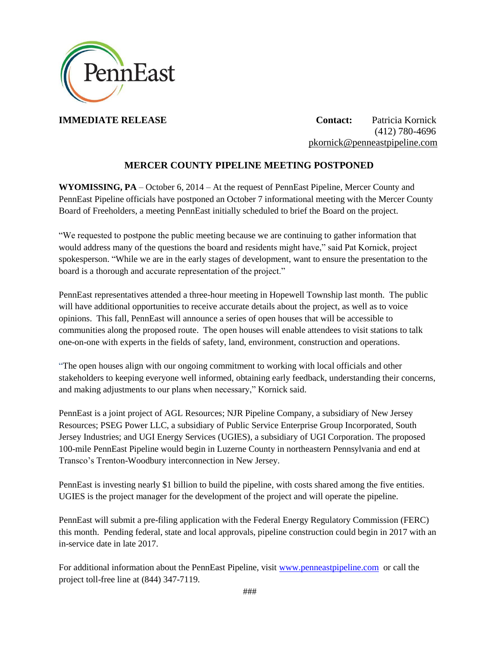

**IMMEDIATE RELEASE Contact:** Patricia Kornick (412) 780-4696 [pkornick@penneastpipeline.com](mailto:pkornick@penneastpipeline.com)

# **MERCER COUNTY PIPELINE MEETING POSTPONED**

**WYOMISSING, PA** – October 6, 2014 – At the request of PennEast Pipeline, Mercer County and PennEast Pipeline officials have postponed an October 7 informational meeting with the Mercer County Board of Freeholders, a meeting PennEast initially scheduled to brief the Board on the project.

"We requested to postpone the public meeting because we are continuing to gather information that would address many of the questions the board and residents might have," said Pat Kornick, project spokesperson. "While we are in the early stages of development, want to ensure the presentation to the board is a thorough and accurate representation of the project."

PennEast representatives attended a three-hour meeting in Hopewell Township last month. The public will have additional opportunities to receive accurate details about the project, as well as to voice opinions. This fall, PennEast will announce a series of open houses that will be accessible to communities along the proposed route. The open houses will enable attendees to visit stations to talk one-on-one with experts in the fields of safety, land, environment, construction and operations.

"The open houses align with our ongoing commitment to working with local officials and other stakeholders to keeping everyone well informed, obtaining early feedback, understanding their concerns, and making adjustments to our plans when necessary," Kornick said.

PennEast is a joint project of AGL Resources; NJR Pipeline Company, a subsidiary of New Jersey Resources; PSEG Power LLC, a subsidiary of Public Service Enterprise Group Incorporated, South Jersey Industries; and UGI Energy Services (UGIES), a subsidiary of UGI Corporation. The proposed 100-mile PennEast Pipeline would begin in Luzerne County in northeastern Pennsylvania and end at Transco's Trenton-Woodbury interconnection in New Jersey.

PennEast is investing nearly \$1 billion to build the pipeline, with costs shared among the five entities. UGIES is the project manager for the development of the project and will operate the pipeline.

PennEast will submit a pre-filing application with the Federal Energy Regulatory Commission (FERC) this month. Pending federal, state and local approvals, pipeline construction could begin in 2017 with an in-service date in late 2017.

For additional information about the PennEast Pipeline, visit [www.penneastpipeline.com](http://www.penneastpipeline.com/) or call the project toll-free line at (844) 347-7119.